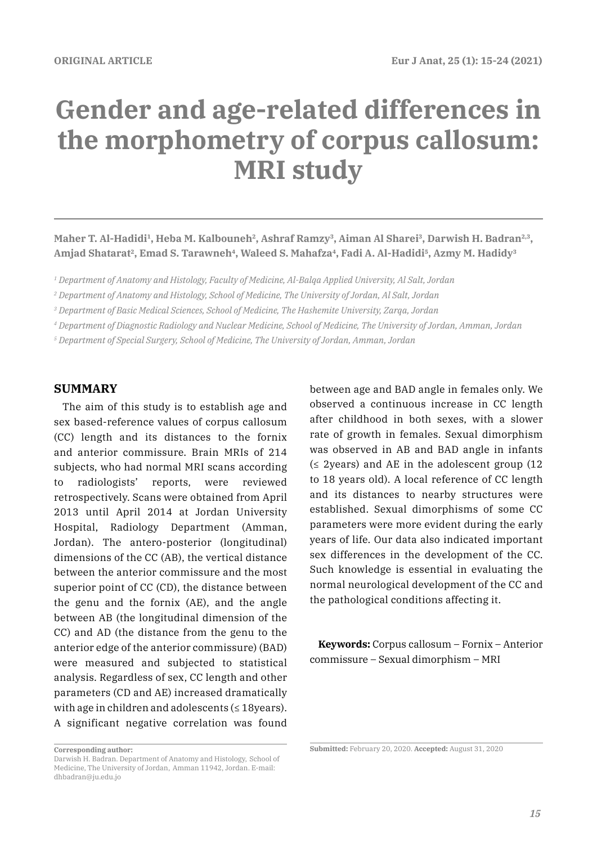# **Gender and age-related differences in the morphometry of corpus callosum: MRI study**

Maher T. Al-Hadidi<sup>1</sup>, Heba M. Kalbouneh<sup>2</sup>, Ashraf Ramzy<sup>3</sup>, Aiman Al Sharei<sup>3</sup>, Darwish H. Badran<sup>2,3</sup>, Amjad Shatarat<sup>2</sup>, Emad S. Tarawneh<sup>4</sup>, Waleed S. Mahafza<sup>4</sup>, Fadi A. Al-Hadidi<sup>5</sup>, Azmy M. Hadidy<sup>3</sup>

*1 Department of Anatomy and Histology, Faculty of Medicine, Al-Balqa Applied University, Al Salt, Jordan*

*3 Department of Basic Medical Sciences, School of Medicine, The Hashemite University, Zarqa, Jordan*

*4 Department of Diagnostic Radiology and Nuclear Medicine, School of Medicine, The University of Jordan, Amman, Jordan*

*5 Department of Special Surgery, School of Medicine, The University of Jordan, Amman, Jordan*

# **SUMMARY**

The aim of this study is to establish age and sex based-reference values of corpus callosum (CC) length and its distances to the fornix and anterior commissure. Brain MRIs of 214 subjects, who had normal MRI scans according to radiologists' reports, were reviewed retrospectively. Scans were obtained from April 2013 until April 2014 at Jordan University Hospital, Radiology Department (Amman, Jordan). The antero-posterior (longitudinal) dimensions of the CC (AB), the vertical distance between the anterior commissure and the most superior point of CC (CD), the distance between the genu and the fornix (AE), and the angle between AB (the longitudinal dimension of the CC) and AD (the distance from the genu to the anterior edge of the anterior commissure) (BAD) were measured and subjected to statistical analysis. Regardless of sex, CC length and other parameters (CD and AE) increased dramatically with age in children and adolescents  $( \leq 18$ years). A significant negative correlation was found between age and BAD angle in females only. We observed a continuous increase in CC length after childhood in both sexes, with a slower rate of growth in females. Sexual dimorphism was observed in AB and BAD angle in infants  $($  ≤ 2years) and AE in the adolescent group (12 to 18 years old). A local reference of CC length and its distances to nearby structures were established. Sexual dimorphisms of some CC parameters were more evident during the early years of life. Our data also indicated important sex differences in the development of the CC. Such knowledge is essential in evaluating the normal neurological development of the CC and the pathological conditions affecting it.

**Keywords:** Corpus callosum – Fornix – Anterior commissure – Sexual dimorphism – MRI

*<sup>2</sup> Department of Anatomy and Histology, School of Medicine, The University of Jordan, Al Salt, Jordan*

**Corresponding author:** 

Darwish H. Badran. Department of Anatomy and Histology, School of Medicine, The University of Jordan, Amman 11942, Jordan. E-mail: dhbadran@ju.edu.jo

**Submitted:** February 20, 2020. **Accepted:** August 31, 2020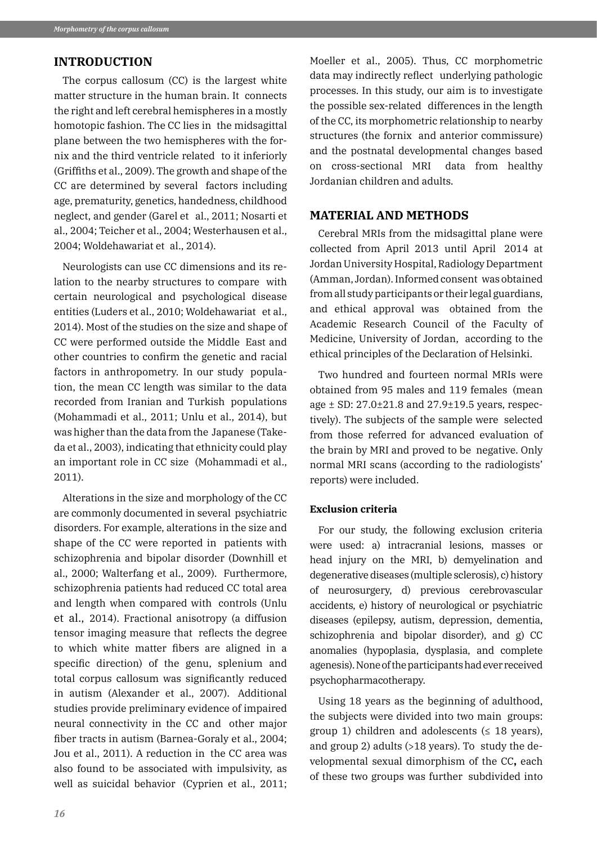## **INTRODUCTION**

The corpus callosum (CC) is the largest white matter structure in the human brain. It connects the right and left cerebral hemispheres in a mostly homotopic fashion. The CC lies in the midsagittal plane between the two hemispheres with the fornix and the third ventricle related to it inferiorly (Griffiths et al., 2009). The growth and shape of the CC are determined by several factors including age, prematurity, genetics, handedness, childhood neglect, and gender (Garel et al., 2011; Nosarti et al., 2004; Teicher et al., 2004; Westerhausen et al., 2004; Woldehawariat et al., 2014).

Neurologists can use CC dimensions and its relation to the nearby structures to compare with certain neurological and psychological disease entities (Luders et al., 2010; Woldehawariat et al., 2014). Most of the studies on the size and shape of CC were performed outside the Middle East and other countries to confirm the genetic and racial factors in anthropometry. In our study population, the mean CC length was similar to the data recorded from Iranian and Turkish populations (Mohammadi et al., 2011; Unlu et al., 2014), but was higher than the data from the Japanese (Takeda et al., 2003), indicating that ethnicity could play an important role in CC size (Mohammadi et al., 2011).

Alterations in the size and morphology of the CC are commonly documented in several psychiatric disorders. For example, alterations in the size and shape of the CC were reported in patients with schizophrenia and bipolar disorder (Downhill et al., 2000; Walterfang et al., 2009). Furthermore, schizophrenia patients had reduced CC total area and length when compared with controls (Unlu et al., 2014). Fractional anisotropy (a diffusion tensor imaging measure that reflects the degree to which white matter fibers are aligned in a specific direction) of the genu, splenium and total corpus callosum was significantly reduced in autism (Alexander et al., 2007). Additional studies provide preliminary evidence of impaired neural connectivity in the CC and other major fiber tracts in autism (Barnea-Goraly et al., 2004; Jou et al., 2011). A reduction in the CC area was also found to be associated with impulsivity, as well as suicidal behavior (Cyprien et al., 2011;

Moeller et al., 2005). Thus, CC morphometric data may indirectly reflect underlying pathologic processes. In this study, our aim is to investigate the possible sex-related differences in the length of the CC, its morphometric relationship to nearby structures (the fornix and anterior commissure) and the postnatal developmental changes based on cross-sectional MRI data from healthy Jordanian children and adults.

# **MATERIAL AND METHODS**

Cerebral MRIs from the midsagittal plane were collected from April 2013 until April 2014 at Jordan University Hospital, Radiology Department (Amman, Jordan). Informed consent was obtained from all study participants or their legal guardians, and ethical approval was obtained from the Academic Research Council of the Faculty of Medicine, University of Jordan, according to the ethical principles of the Declaration of Helsinki.

Two hundred and fourteen normal MRIs were obtained from 95 males and 119 females (mean age ± SD: 27.0±21.8 and 27.9±19.5 years, respectively). The subjects of the sample were selected from those referred for advanced evaluation of the brain by MRI and proved to be negative. Only normal MRI scans (according to the radiologists' reports) were included.

#### **Exclusion criteria**

For our study, the following exclusion criteria were used: a) intracranial lesions, masses or head injury on the MRI, b) demyelination and degenerative diseases (multiple sclerosis), c) history of neurosurgery, d) previous cerebrovascular accidents, e) history of neurological or psychiatric diseases (epilepsy, autism, depression, dementia, schizophrenia and bipolar disorder), and g) CC anomalies (hypoplasia, dysplasia, and complete agenesis). None of the participants had ever received psychopharmacotherapy.

Using 18 years as the beginning of adulthood, the subjects were divided into two main groups: group 1) children and adolescents ( $\leq$  18 years), and group 2) adults (>18 years). To study the developmental sexual dimorphism of the CC**,** each of these two groups was further subdivided into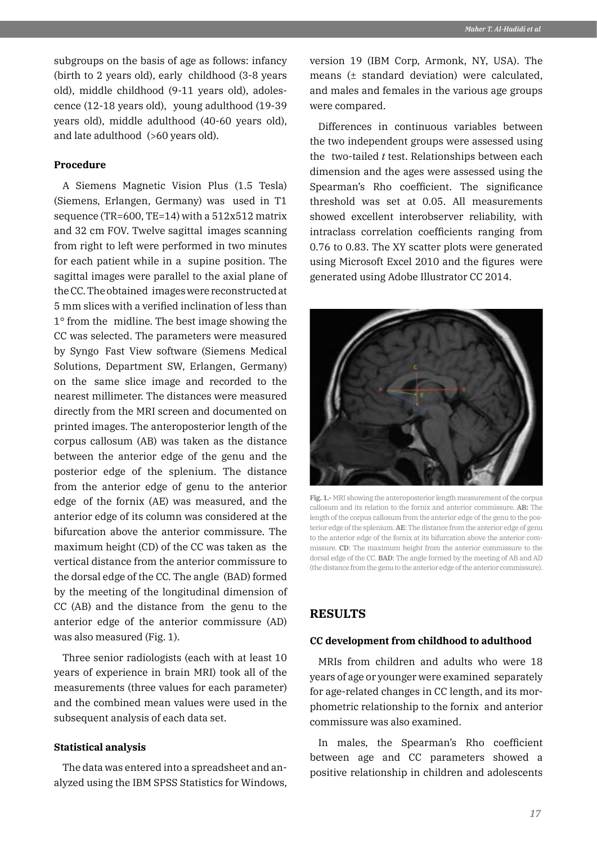subgroups on the basis of age as follows: infancy (birth to 2 years old), early childhood (3-8 years old), middle childhood (9-11 years old), adolescence (12-18 years old), young adulthood (19-39 years old), middle adulthood (40-60 years old), and late adulthood (>60 years old).

#### **Procedure**

A Siemens Magnetic Vision Plus (1.5 Tesla) (Siemens, Erlangen, Germany) was used in T1 sequence (TR=600, TE=14) with a 512x512 matrix and 32 cm FOV. Twelve sagittal images scanning from right to left were performed in two minutes for each patient while in a supine position. The sagittal images were parallel to the axial plane of the CC. The obtained images were reconstructed at 5 mm slices with a verified inclination of less than 1° from the midline. The best image showing the CC was selected. The parameters were measured by Syngo Fast View software (Siemens Medical Solutions, Department SW, Erlangen, Germany) on the same slice image and recorded to the nearest millimeter. The distances were measured directly from the MRI screen and documented on printed images. The anteroposterior length of the corpus callosum (AB) was taken as the distance between the anterior edge of the genu and the posterior edge of the splenium. The distance from the anterior edge of genu to the anterior edge of the fornix (AE) was measured, and the anterior edge of its column was considered at the bifurcation above the anterior commissure. The maximum height (CD) of the CC was taken as the vertical distance from the anterior commissure to the dorsal edge of the CC. The angle (BAD) formed by the meeting of the longitudinal dimension of CC (AB) and the distance from the genu to the anterior edge of the anterior commissure (AD) was also measured (Fig. 1).

Three senior radiologists (each with at least 10 years of experience in brain MRI) took all of the measurements (three values for each parameter) and the combined mean values were used in the subsequent analysis of each data set.

#### **Statistical analysis**

The data was entered into a spreadsheet and analyzed using the IBM SPSS Statistics for Windows, version 19 (IBM Corp, Armonk, NY, USA). The means (± standard deviation) were calculated, and males and females in the various age groups were compared.

Differences in continuous variables between the two independent groups were assessed using the two-tailed *t* test. Relationships between each dimension and the ages were assessed using the Spearman's Rho coefficient. The significance threshold was set at 0.05. All measurements showed excellent interobserver reliability, with intraclass correlation coefficients ranging from 0.76 to 0.83. The XY scatter plots were generated using Microsoft Excel 2010 and the figures were generated using Adobe Illustrator CC 2014.



**Fig. 1.-** MRI showing the anteroposterior length measurement of the corpus callosum and its relation to the fornix and anterior commissure. **AB:** The length of the corpus callosum from the anterior edge of the genu to the posterior edge of the splenium. **AE**: The distance from the anterior edge of genu to the anterior edge of the fornix at its bifurcation above the anterior commissure. **CD**: The maximum height from the anterior commissure to the dorsal edge of the CC. **BAD**: The angle formed by the meeting of AB and AD (the distance from the genu to the anterior edge of the anterior commissure).

## **RESULTS**

#### **CC development from childhood to adulthood**

MRIs from children and adults who were 18 years of age or younger were examined separately for age-related changes in CC length, and its morphometric relationship to the fornix and anterior commissure was also examined.

In males, the Spearman's Rho coefficient between age and CC parameters showed a positive relationship in children and adolescents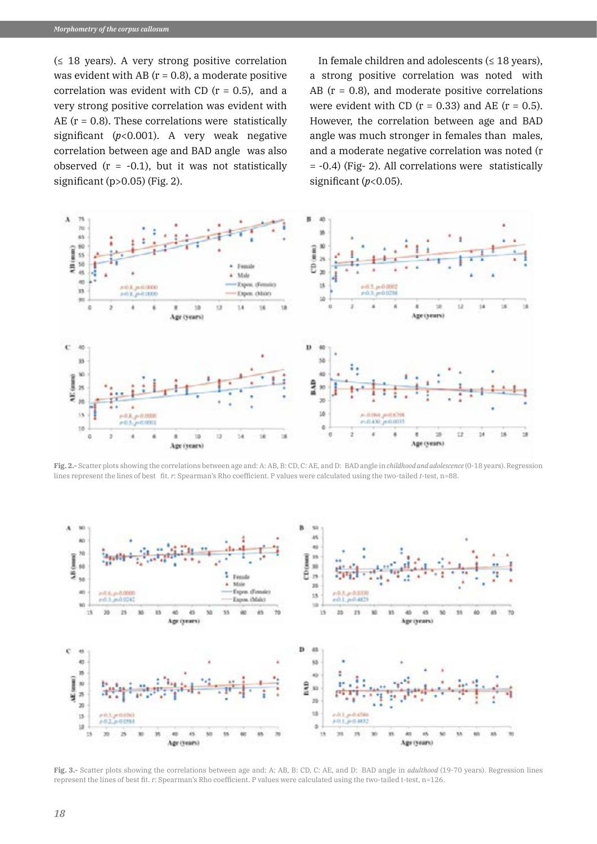$(≤ 18 \text{ years})$ . A very strong positive correlation was evident with AB  $(r = 0.8)$ , a moderate positive correlation was evident with CD  $(r = 0.5)$ , and a very strong positive correlation was evident with AE ( $r = 0.8$ ). These correlations were statistically significant (*p*<0.001). A very weak negative correlation between age and BAD angle was also observed  $(r = -0.1)$ , but it was not statistically significant (p>0.05) (Fig. 2).

In female children and adolescents  $(≤ 18$  years), a strong positive correlation was noted with AB  $(r = 0.8)$ , and moderate positive correlations were evident with CD  $(r = 0.33)$  and AE  $(r = 0.5)$ . However, the correlation between age and BAD angle was much stronger in females than males, and a moderate negative correlation was noted (r = -0.4) (Fig- 2). All correlations were statistically significant  $(p<0.05)$ .



**Fig. 2.-** Scatter plots showing the correlations between age and: A: AB, B: CD, C: AE, and D: BAD angle in *childhood and adolescence* (0-18 years). Regression lines represent the lines of best fit. *r*: Spearman's Rho coefficient. P values were calculated using the two-tailed *t*-test, n=88.



**Fig. 3.-** Scatter plots showing the correlations between age and: A: AB, B: CD, C: AE, and D: BAD angle in *adulthood* (19-70 years). Regression lines represent the lines of best fit. r: Spearman's Rho coefficient. P values were calculated using the two-tailed t-test, n=126.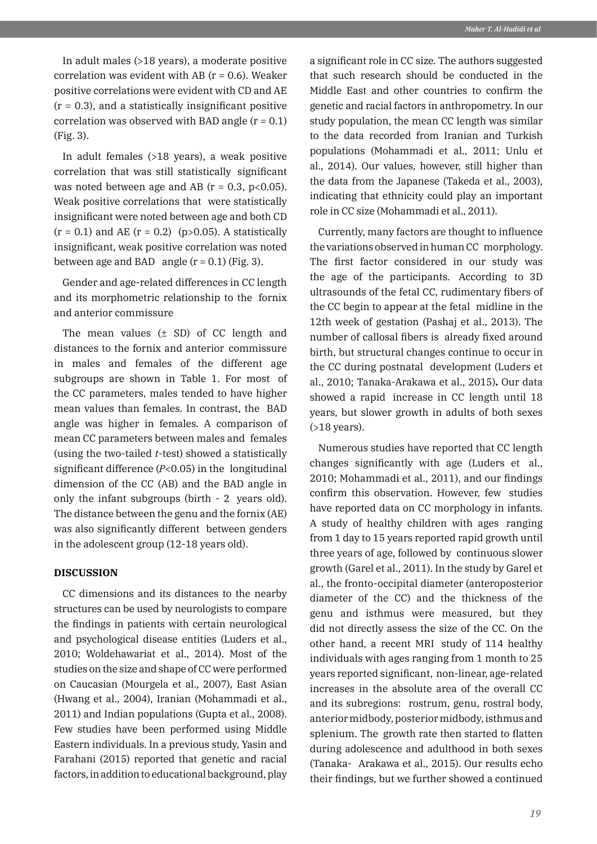In adult males (>18 years), a moderate positive correlation was evident with AB ( $r = 0.6$ ). Weaker positive correlations were evident with CD and AE  $(r = 0.3)$ , and a statistically insignificant positive correlation was observed with BAD angle  $(r = 0.1)$ (Fig. 3).

In adult females (>18 years), a weak positive correlation that was still statistically significant was noted between age and AB ( $r = 0.3$ ,  $p < 0.05$ ). Weak positive correlations that were statistically insignificant were noted between age and both CD  $(r = 0.1)$  and AE  $(r = 0.2)$  (p>0.05). A statistically insignificant, weak positive correlation was noted between age and BAD angle  $(r = 0.1)$  (Fig. 3).

Gender and age-related differences in CC length and its morphometric relationship to the fornix and anterior commissure

The mean values  $(\pm$  SD) of CC length and distances to the fornix and anterior commissure in males and females of the different age subgroups are shown in Table 1. For most of the CC parameters, males tended to have higher mean values than females. In contrast, the BAD angle was higher in females. A comparison of mean CC parameters between males and females (using the two-tailed *t*-test) showed a statistically significant difference (*P*<0.05) in the longitudinal dimension of the CC (AB) and the BAD angle in only the infant subgroups (birth - 2 years old). The distance between the genu and the fornix (AE) was also significantly different between genders in the adolescent group (12-18 years old).

## **DISCUSSION**

CC dimensions and its distances to the nearby structures can be used by neurologists to compare the findings in patients with certain neurological and psychological disease entities (Luders et al., 2010; Woldehawariat et al., 2014). Most of the studies on the size and shape of CC were performed on Caucasian (Mourgela et al., 2007), East Asian (Hwang et al., 2004), Iranian (Mohammadi et al., 2011) and Indian populations (Gupta et al., 2008). Few studies have been performed using Middle Eastern individuals. In a previous study, Yasin and Farahani (2015) reported that genetic and racial factors, in addition to educational background, play

a significant role in CC size. The authors suggested that such research should be conducted in the Middle East and other countries to confirm the genetic and racial factors in anthropometry. In our study population, the mean CC length was similar to the data recorded from Iranian and Turkish populations (Mohammadi et al., 2011; Unlu et al., 2014). Our values, however, still higher than the data from the Japanese (Takeda et al., 2003), indicating that ethnicity could play an important role in CC size (Mohammadi et al., 2011).

Currently, many factors are thought to influence the variations observed in human CC morphology. The first factor considered in our study was the age of the participants. According to 3D ultrasounds of the fetal CC, rudimentary fibers of the CC begin to appear at the fetal midline in the 12th week of gestation (Pashaj et al., 2013). The number of callosal fibers is already fixed around birth, but structural changes continue to occur in the CC during postnatal development (Luders et al., 2010; Tanaka-Arakawa et al., 2015)**.** Our data showed a rapid increase in CC length until 18 years, but slower growth in adults of both sexes (>18 years).

Numerous studies have reported that CC length changes significantly with age (Luders et al., 2010; Mohammadi et al., 2011), and our findings confirm this observation. However, few studies have reported data on CC morphology in infants. A study of healthy children with ages ranging from 1 day to 15 years reported rapid growth until three years of age, followed by continuous slower growth (Garel et al., 2011). In the study by Garel et al., the fronto-occipital diameter (anteroposterior diameter of the CC) and the thickness of the genu and isthmus were measured, but they did not directly assess the size of the CC. On the other hand, a recent MRI study of 114 healthy individuals with ages ranging from 1 month to 25 years reported significant, non-linear, age-related increases in the absolute area of the overall CC and its subregions: rostrum, genu, rostral body, anterior midbody, posterior midbody, isthmus and splenium. The growth rate then started to flatten during adolescence and adulthood in both sexes (Tanaka- Arakawa et al., 2015). Our results echo their findings, but we further showed a continued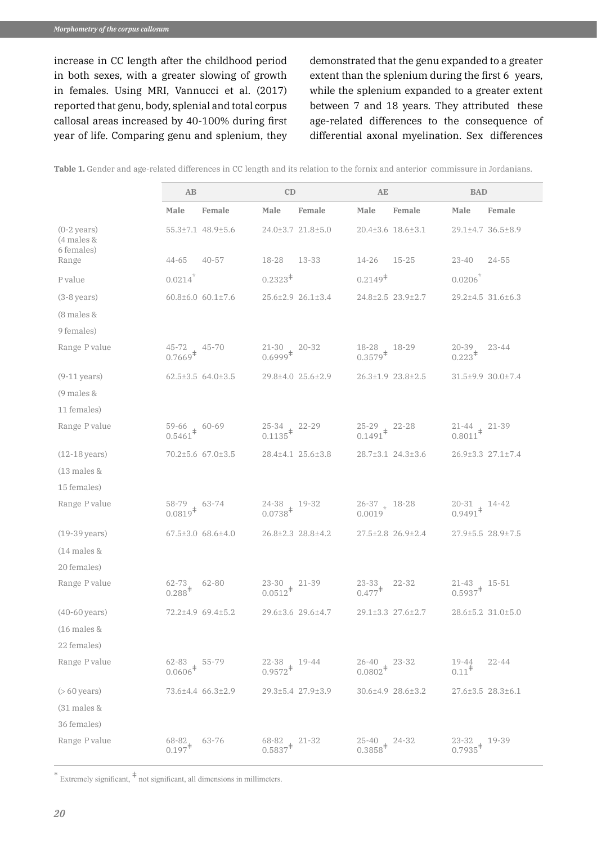increase in CC length after the childhood period in both sexes, with a greater slowing of growth in females. Using MRI, Vannucci et al. (2017) reported that genu, body, splenial and total corpus callosal areas increased by 40-100% during first year of life. Comparing genu and splenium, they demonstrated that the genu expanded to a greater extent than the splenium during the first 6 years, while the splenium expanded to a greater extent between 7 and 18 years. They attributed these age-related differences to the consequence of differential axonal myelination. Sex differences

|                                       | AB                                                    |                               | CD                                     |                   | AE                                                    |                               | <b>BAD</b>                                                                    |                   |
|---------------------------------------|-------------------------------------------------------|-------------------------------|----------------------------------------|-------------------|-------------------------------------------------------|-------------------------------|-------------------------------------------------------------------------------|-------------------|
|                                       | Male                                                  | Female                        | Male                                   | Female            | Male                                                  | Female                        | Male                                                                          | Female            |
| $(0-2 \text{ years})$<br>$(4$ males & |                                                       | 55.3±7.1 48.9±5.6             |                                        | 24.0±3.7 21.8±5.0 |                                                       | 20.4±3.6 18.6±3.1             |                                                                               | 29.1±4.7 36.5±8.9 |
| 6 females)<br>Range                   | $44 - 65$                                             | $40 - 57$                     | 18-28                                  | 13-33             | 14-26                                                 | $15 - 25$                     | $23 - 40$                                                                     | $24 - 55$         |
| P value                               | 0.0214                                                |                               | $0.2323^{\ddagger}$                    |                   | $0.2149^{\ddagger}$                                   |                               | $0.0206^{*}$                                                                  |                   |
| $(3-8 \text{ years})$                 |                                                       | $60.8 \pm 6.0$ $60.1 \pm 7.6$ |                                        | 25.6±2.9 26.1±3.4 |                                                       | 24.8±2.5 23.9±2.7             |                                                                               | 29.2±4.5 31.6±6.3 |
| (8 males &                            |                                                       |                               |                                        |                   |                                                       |                               |                                                                               |                   |
| 9 females)                            |                                                       |                               |                                        |                   |                                                       |                               |                                                                               |                   |
| Range P value                         | $45-72$ $45-70$<br>0.7669 <sup>‡</sup>                |                               | $21-30$ $20-32$<br>0.6999 <sup>‡</sup> |                   | $18-28$ $18-29$<br>0.3579 <sup>‡</sup>                |                               | $20 - 39$ .<br>$0.223^{\dagger}$                                              | $23 - 44$         |
| $(9-11 \,\text{years})$               |                                                       | $62.5 \pm 3.5$ 64.0 $\pm 3.5$ |                                        | 29.8±4.0 25.6±2.9 |                                                       | $26.3 \pm 1.9$ $23.8 \pm 2.5$ |                                                                               | 31.5±9.9 30.0±7.4 |
| $(9$ males &                          |                                                       |                               |                                        |                   |                                                       |                               |                                                                               |                   |
| 11 females)                           |                                                       |                               |                                        |                   |                                                       |                               |                                                                               |                   |
| Range P value                         | $59-66$ $60-69$<br>0.5461 <sup><math>\pm</math></sup> |                               | 25-34 22-29<br>$0.1135^{\ddagger}$     |                   | $25-29$ $22-28$<br>0.1491 <sup><math>\pm</math></sup> |                               | $\begin{array}{rr} 21\text{-}44 & 21\text{-}39 \\ 0.8011^{+} & & \end{array}$ |                   |
| $(12-18 \text{ years})$               |                                                       | 70.2±5.6 67.0±3.5             |                                        | 28.4±4.1 25.6±3.8 |                                                       | 28.7±3.1 24.3±3.6             |                                                                               | 26.9±3.3 27.1±7.4 |
| $(13$ males &                         |                                                       |                               |                                        |                   |                                                       |                               |                                                                               |                   |
| 15 females)                           |                                                       |                               |                                        |                   |                                                       |                               |                                                                               |                   |
| Range P value                         | 58-79 63-74<br>$0.0819^{\ddagger}$                    |                               | $24-38$ $19-32$<br>0.0738 <sup>‡</sup> |                   | $26-37$ $*$ 18-28<br>0.0019                           |                               | $20-31$ $14-42$<br>0.9491 <sup><math>\pm</math></sup>                         |                   |
| $(19-39 \text{ years})$               |                                                       | $67.5 \pm 3.0$ $68.6 \pm 4.0$ |                                        | 26.8±2.3 28.8±4.2 |                                                       | $27.5 \pm 2.8$ 26.9 $\pm 2.4$ |                                                                               | 27.9±5.5 28.9±7.5 |
| $(14$ males &                         |                                                       |                               |                                        |                   |                                                       |                               |                                                                               |                   |
| 20 females)                           |                                                       |                               |                                        |                   |                                                       |                               |                                                                               |                   |
| Range P value                         | $62 - 73$<br>$0.288^{\ddagger}$                       | $62 - 80$                     | 23-30<br>$0.0512^+$                    | $21-39$           | $23 - 33$<br>$0.477$ <sup>‡</sup>                     | $22 - 32$                     | $21 - 43$<br>$0.5937$ <sup>#</sup>                                            | $15-51$           |
| $(40-60 \,\text{years})$              |                                                       | 72.2±4.9 69.4±5.2             |                                        | 29.6±3.6 29.6±4.7 |                                                       | 29.1±3.3 27.6±2.7             |                                                                               | 28.6±5.2 31.0±5.0 |
| $(16$ males &                         |                                                       |                               |                                        |                   |                                                       |                               |                                                                               |                   |
| 22 females)                           |                                                       |                               |                                        |                   |                                                       |                               |                                                                               |                   |
| Range P value                         | $62 - 83$ 55-79<br>0.0606 <sup><math>\pm</math></sup> |                               | 22-38, 19-44<br>$0.9572^+$             |                   | $26-40$ $23-32$<br>0.0802 <sup><math>\pm</math></sup> |                               | 19-44<br>$0.11^*$                                                             | $22 - 44$         |
| $($ > 60 years)                       |                                                       | 73.6±4.4 66.3±2.9             |                                        | 29.3±5.4 27.9±3.9 |                                                       | 30.6±4.9 28.6±3.2             |                                                                               | 27.6±3.5 28.3±6.1 |
| $(31$ males &                         |                                                       |                               |                                        |                   |                                                       |                               |                                                                               |                   |
| 36 females)                           |                                                       |                               |                                        |                   |                                                       |                               |                                                                               |                   |
| Range P value                         | $68 - 82$<br>$0.197$ <sup>‡</sup>                     | $63 - 76$                     | 68-82, 21-32<br>$0.5837^{\ddagger}$    |                   | $25 - 40$<br>0.3858 <sup>‡</sup>                      | 24-32                         | 23-32 19-39<br>$0.7935^{\text{+}}$                                            |                   |

**Table 1.** Gender and age-related differences in CC length and its relation to the fornix and anterior commissure in Jordanians.

\* Extremely significant, <sup>ǂ</sup> not significant, all dimensions in millimeters.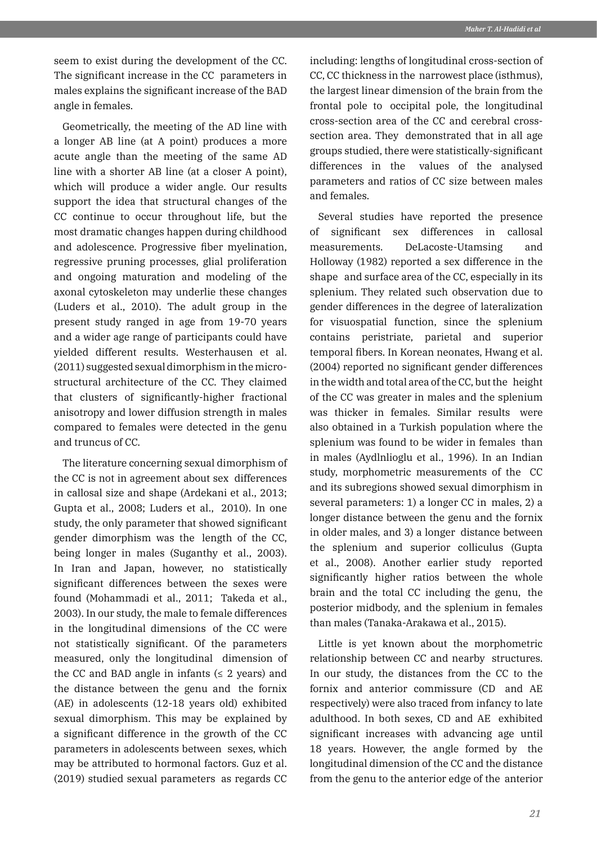seem to exist during the development of the CC. The significant increase in the CC parameters in males explains the significant increase of the BAD angle in females.

Geometrically, the meeting of the AD line with a longer AB line (at A point) produces a more acute angle than the meeting of the same AD line with a shorter AB line (at a closer A point), which will produce a wider angle. Our results support the idea that structural changes of the CC continue to occur throughout life, but the most dramatic changes happen during childhood and adolescence. Progressive fiber myelination, regressive pruning processes, glial proliferation and ongoing maturation and modeling of the axonal cytoskeleton may underlie these changes (Luders et al., 2010). The adult group in the present study ranged in age from 19-70 years and a wider age range of participants could have yielded different results. Westerhausen et al. (2011) suggested sexual dimorphism in the microstructural architecture of the CC. They claimed that clusters of significantly-higher fractional anisotropy and lower diffusion strength in males compared to females were detected in the genu and truncus of CC.

The literature concerning sexual dimorphism of the CC is not in agreement about sex differences in callosal size and shape (Ardekani et al., 2013; Gupta et al., 2008; Luders et al., 2010). In one study, the only parameter that showed significant gender dimorphism was the length of the CC, being longer in males (Suganthy et al., 2003). In Iran and Japan, however, no statistically significant differences between the sexes were found (Mohammadi et al., 2011; Takeda et al., 2003). In our study, the male to female differences in the longitudinal dimensions of the CC were not statistically significant. Of the parameters measured, only the longitudinal dimension of the CC and BAD angle in infants  $(≤ 2$  years) and the distance between the genu and the fornix (AE) in adolescents (12-18 years old) exhibited sexual dimorphism. This may be explained by a significant difference in the growth of the CC parameters in adolescents between sexes, which may be attributed to hormonal factors. Guz et al. (2019) studied sexual parameters as regards CC including: lengths of longitudinal cross-section of CC, CC thickness in the narrowest place (isthmus), the largest linear dimension of the brain from the frontal pole to occipital pole, the longitudinal cross-section area of the CC and cerebral crosssection area. They demonstrated that in all age groups studied, there were statistically-significant differences in the values of the analysed parameters and ratios of CC size between males and females.

Several studies have reported the presence of significant sex differences in callosal measurements. DeLacoste-Utamsing and Holloway (1982) reported a sex difference in the shape and surface area of the CC, especially in its splenium. They related such observation due to gender differences in the degree of lateralization for visuospatial function, since the splenium contains peristriate, parietal and superior temporal fibers. In Korean neonates, Hwang et al. (2004) reported no significant gender differences in the width and total area of the CC, but the height of the CC was greater in males and the splenium was thicker in females. Similar results were also obtained in a Turkish population where the splenium was found to be wider in females than in males (Aydlnlioglu et al., 1996). In an Indian study, morphometric measurements of the CC and its subregions showed sexual dimorphism in several parameters: 1) a longer CC in males, 2) a longer distance between the genu and the fornix in older males, and 3) a longer distance between the splenium and superior colliculus (Gupta et al., 2008). Another earlier study reported significantly higher ratios between the whole brain and the total CC including the genu, the posterior midbody, and the splenium in females than males (Tanaka-Arakawa et al., 2015).

Little is yet known about the morphometric relationship between CC and nearby structures. In our study, the distances from the CC to the fornix and anterior commissure (CD and AE respectively) were also traced from infancy to late adulthood. In both sexes, CD and AE exhibited significant increases with advancing age until 18 years. However, the angle formed by the longitudinal dimension of the CC and the distance from the genu to the anterior edge of the anterior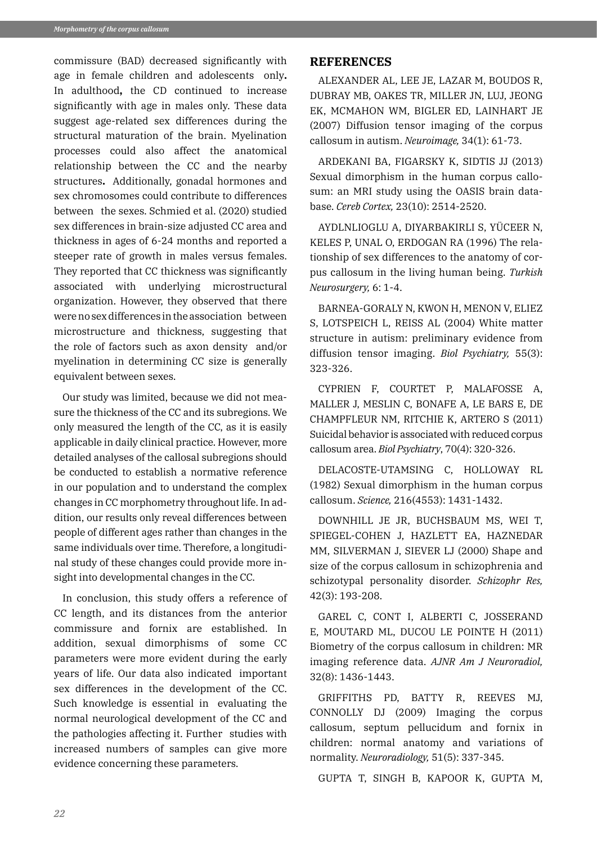commissure (BAD) decreased significantly with age in female children and adolescents only**.**  In adulthood**,** the CD continued to increase significantly with age in males only. These data suggest age-related sex differences during the structural maturation of the brain. Myelination processes could also affect the anatomical relationship between the CC and the nearby structures**.** Additionally, gonadal hormones and sex chromosomes could contribute to differences between the sexes. Schmied et al. (2020) studied sex differences in brain-size adjusted CC area and thickness in ages of 6-24 months and reported a steeper rate of growth in males versus females. They reported that CC thickness was significantly associated with underlying microstructural organization. However, they observed that there were no sex differences in the association between microstructure and thickness, suggesting that the role of factors such as axon density and/or myelination in determining CC size is generally equivalent between sexes.

Our study was limited, because we did not measure the thickness of the CC and its subregions. We only measured the length of the CC, as it is easily applicable in daily clinical practice. However, more detailed analyses of the callosal subregions should be conducted to establish a normative reference in our population and to understand the complex changes in CC morphometry throughout life. In addition, our results only reveal differences between people of different ages rather than changes in the same individuals over time. Therefore, a longitudinal study of these changes could provide more insight into developmental changes in the CC.

In conclusion, this study offers a reference of CC length, and its distances from the anterior commissure and fornix are established. In addition, sexual dimorphisms of some CC parameters were more evident during the early years of life. Our data also indicated important sex differences in the development of the CC. Such knowledge is essential in evaluating the normal neurological development of the CC and the pathologies affecting it. Further studies with increased numbers of samples can give more evidence concerning these parameters.

#### **REFERENCES**

ALEXANDER AL, LEE JE, LAZAR M, BOUDOS R, DUBRAY MB, OAKES TR, MILLER JN, LUJ, JEONG EK, MCMAHON WM, BIGLER ED, LAINHART JE (2007) Diffusion tensor imaging of the corpus callosum in autism. *Neuroimage,* 34(1): 61-73.

ARDEKANI BA, FIGARSKY K, SIDTIS JJ (2013) Sexual dimorphism in the human corpus callosum: an MRI study using the OASIS brain database. *Cereb Cortex,* 23(10): 2514-2520.

AYDLNLIOGLU A, DIYARBAKIRLI S, YÜCEER N, KELES P, UNAL O, ERDOGAN RA (1996) The relationship of sex differences to the anatomy of corpus callosum in the living human being. *Turkish Neurosurgery,* 6: 1-4.

BARNEA-GORALY N, KWON H, MENON V, ELIEZ S, LOTSPEICH L, REISS AL (2004) White matter structure in autism: preliminary evidence from diffusion tensor imaging. *Biol Psychiatry,* 55(3): 323-326.

CYPRIEN F, COURTET P, MALAFOSSE A, MALLER J, MESLIN C, BONAFE A, LE BARS E, DE CHAMPFLEUR NM, RITCHIE K, ARTERO S (2011) Suicidal behavior is associated with reduced corpus callosum area. *Biol Psychiatry*, 70(4): 320-326.

DELACOSTE-UTAMSING C, HOLLOWAY RL (1982) Sexual dimorphism in the human corpus callosum. *Science,* 216(4553): 1431-1432.

DOWNHILL JE JR, BUCHSBAUM MS, WEI T, SPIEGEL-COHEN J, HAZLETT EA, HAZNEDAR MM, SILVERMAN J, SIEVER LJ (2000) Shape and size of the corpus callosum in schizophrenia and schizotypal personality disorder. *Schizophr Res,* 42(3): 193-208.

GAREL C, CONT I, ALBERTI C, JOSSERAND E, MOUTARD ML, DUCOU LE POINTE H (2011) Biometry of the corpus callosum in children: MR imaging reference data. *AJNR Am J Neuroradiol,* 32(8): 1436-1443.

GRIFFITHS PD, BATTY R, REEVES MJ, CONNOLLY DJ (2009) Imaging the corpus callosum, septum pellucidum and fornix in children: normal anatomy and variations of normality. *Neuroradiology,* 51(5): 337-345.

GUPTA T, SINGH B, KAPOOR K, GUPTA M,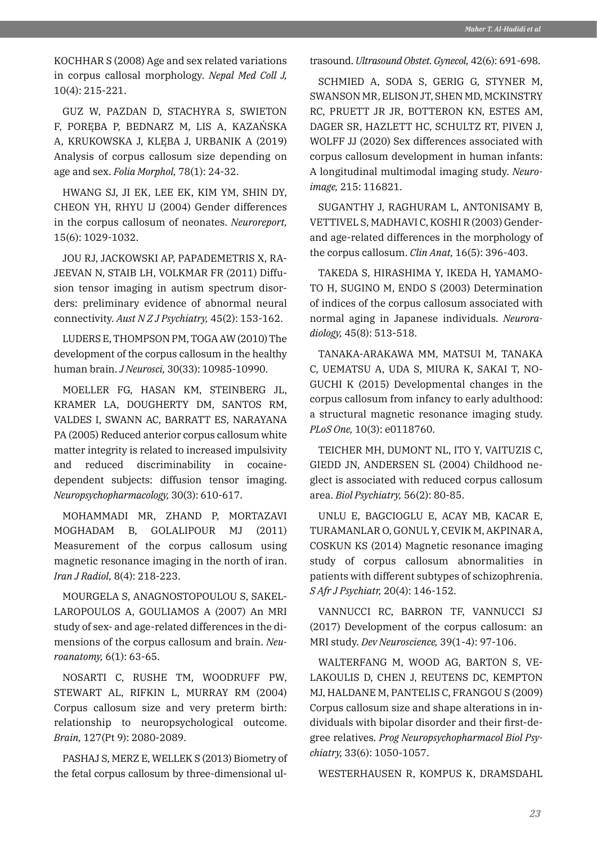KOCHHAR S (2008) Age and sex related variations in corpus callosal morphology. *Nepal Med Coll J,*  10(4): 215-221.

GUZ W, PAZDAN D, STACHYRA S, SWIETON F, PORĘBA P, BEDNARZ M, LIS A, KAZAŃSKA A, KRUKOWSKA J, KLĘBA J, URBANIK A (2019) Analysis of corpus callosum size depending on age and sex. *Folia Morphol,* 78(1): 24-32.

HWANG SJ, JI EK, LEE EK, KIM YM, SHIN DY, CHEON YH, RHYU IJ (2004) Gender differences in the corpus callosum of neonates. *Neuroreport,* 15(6): 1029-1032.

JOU RJ, JACKOWSKI AP, PAPADEMETRIS X, RA-JEEVAN N, STAIB LH, VOLKMAR FR (2011) Diffusion tensor imaging in autism spectrum disorders: preliminary evidence of abnormal neural connectivity. *Aust N Z J Psychiatry,* 45(2): 153-162.

LUDERS E, THOMPSON PM, TOGA AW (2010) The development of the corpus callosum in the healthy human brain. *J Neurosci,* 30(33): 10985-10990.

MOELLER FG, HASAN KM, STEINBERG JL, KRAMER LA, DOUGHERTY DM, SANTOS RM, VALDES I, SWANN AC, BARRATT ES, NARAYANA PA (2005) Reduced anterior corpus callosum white matter integrity is related to increased impulsivity and reduced discriminability in cocainedependent subjects: diffusion tensor imaging. *Neuropsychopharmacology,* 30(3): 610-617.

MOHAMMADI MR, ZHAND P, MORTAZAVI MOGHADAM B, GOLALIPOUR MJ (2011) Measurement of the corpus callosum using magnetic resonance imaging in the north of iran. *Iran J Radiol,* 8(4): 218-223.

MOURGELA S, ANAGNOSTOPOULOU S, SAKEL-LAROPOULOS A, GOULIAMOS A (2007) An MRI study of sex- and age-related differences in the dimensions of the corpus callosum and brain. *Neuroanatomy,* 6(1): 63-65.

NOSARTI C, RUSHE TM, WOODRUFF PW, STEWART AL, RIFKIN L, MURRAY RM (2004) Corpus callosum size and very preterm birth: relationship to neuropsychological outcome. *Brain,* 127(Pt 9): 2080-2089.

PASHAJ S, MERZ E, WELLEK S (2013) Biometry of the fetal corpus callosum by three-dimensional ultrasound. *Ultrasound Obstet. Gynecol,* 42(6): 691-698.

SCHMIED A, SODA S, GERIG G, STYNER M, SWANSON MR, ELISON JT, SHEN MD, MCKINSTRY RC, PRUETT JR JR, BOTTERON KN, ESTES AM, DAGER SR, HAZLETT HC, SCHULTZ RT, PIVEN J, WOLFF JJ (2020) Sex differences associated with corpus callosum development in human infants: A longitudinal multimodal imaging study. *Neuroimage,* 215: 116821.

SUGANTHY J, RAGHURAM L, ANTONISAMY B, VETTIVEL S, MADHAVI C, KOSHI R (2003) Genderand age-related differences in the morphology of the corpus callosum. *Clin Anat,* 16(5): 396-403.

TAKEDA S, HIRASHIMA Y, IKEDA H, YAMAMO-TO H, SUGINO M, ENDO S (2003) Determination of indices of the corpus callosum associated with normal aging in Japanese individuals. *Neuroradiology,* 45(8): 513-518.

TANAKA-ARAKAWA MM, MATSUI M, TANAKA C, UEMATSU A, UDA S, MIURA K, SAKAI T, NO-GUCHI K (2015) Developmental changes in the corpus callosum from infancy to early adulthood: a structural magnetic resonance imaging study. *PLoS One,* 10(3): e0118760.

TEICHER MH, DUMONT NL, ITO Y, VAITUZIS C, GIEDD JN, ANDERSEN SL (2004) Childhood neglect is associated with reduced corpus callosum area. *Biol Psychiatry,* 56(2): 80-85.

UNLU E, BAGCIOGLU E, ACAY MB, KACAR E, TURAMANLAR O, GONUL Y, CEVIK M, AKPINAR A, COSKUN KS (2014) Magnetic resonance imaging study of corpus callosum abnormalities in patients with different subtypes of schizophrenia. *S Afr J Psychiatr,* 20(4): 146-152.

VANNUCCI RC, BARRON TF, VANNUCCI SJ (2017) Development of the corpus callosum: an MRI study. *Dev Neuroscience,* 39(1-4): 97-106.

WALTERFANG M, WOOD AG, BARTON S, VE-LAKOULIS D, CHEN J, REUTENS DC, KEMPTON MJ, HALDANE M, PANTELIS C, FRANGOU S (2009) Corpus callosum size and shape alterations in individuals with bipolar disorder and their first-degree relatives. *Prog Neuropsychopharmacol Biol Psychiatry,* 33(6): 1050-1057.

WESTERHAUSEN R, KOMPUS K, DRAMSDAHL